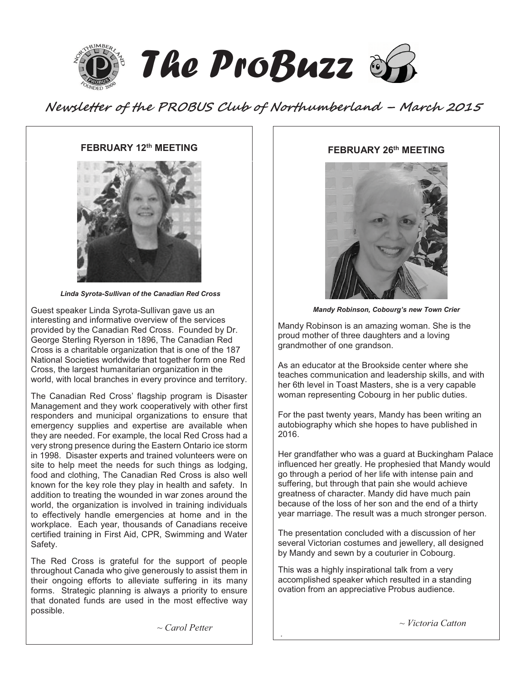

**Newsletter of the PROBUS Club of Northumberland – March 2015** 

### **FEBRUARY 12th MEETING**



 *Linda Syrota-Sullivan of the Canadian Red Cross* 

Guest speaker Linda Syrota-Sullivan gave us an interesting and informative overview of the services provided by the Canadian Red Cross. Founded by Dr. George Sterling Ryerson in 1896, The Canadian Red Cross is a charitable organization that is one of the 187 National Societies worldwide that together form one Red Cross, the largest humanitarian organization in the world, with local branches in every province and territory.

The Canadian Red Cross' flagship program is Disaster Management and they work cooperatively with other first responders and municipal organizations to ensure that emergency supplies and expertise are available when they are needed. For example, the local Red Cross had a very strong presence during the Eastern Ontario ice storm in 1998. Disaster experts and trained volunteers were on site to help meet the needs for such things as lodging, food and clothing, The Canadian Red Cross is also well known for the key role they play in health and safety. In addition to treating the wounded in war zones around the world, the organization is involved in training individuals to effectively handle emergencies at home and in the workplace. Each year, thousands of Canadians receive certified training in First Aid, CPR, Swimming and Water Safety.

The Red Cross is grateful for the support of people throughout Canada who give generously to assist them in their ongoing efforts to alleviate suffering in its many forms. Strategic planning is always a priority to ensure that donated funds are used in the most effective way possible.

#### **FEBRUARY 26th MEETING**



*Mandy Robinson, Cobourg's new Town Crier* 

Mandy Robinson is an amazing woman. She is the proud mother of three daughters and a loving grandmother of one grandson.

As an educator at the Brookside center where she teaches communication and leadership skills, and with her 6th level in Toast Masters, she is a very capable woman representing Cobourg in her public duties.

For the past twenty years, Mandy has been writing an autobiography which she hopes to have published in 2016.

Her grandfather who was a guard at Buckingham Palace influenced her greatly. He prophesied that Mandy would go through a period of her life with intense pain and suffering, but through that pain she would achieve greatness of character. Mandy did have much pain because of the loss of her son and the end of a thirty year marriage. The result was a much stronger person.

The presentation concluded with a discussion of her several Victorian costumes and jewellery, all designed by Mandy and sewn by a couturier in Cobourg.

This was a highly inspirational talk from a very accomplished speaker which resulted in a standing ovation from an appreciative Probus audience.

*~ Carol Petter* 

.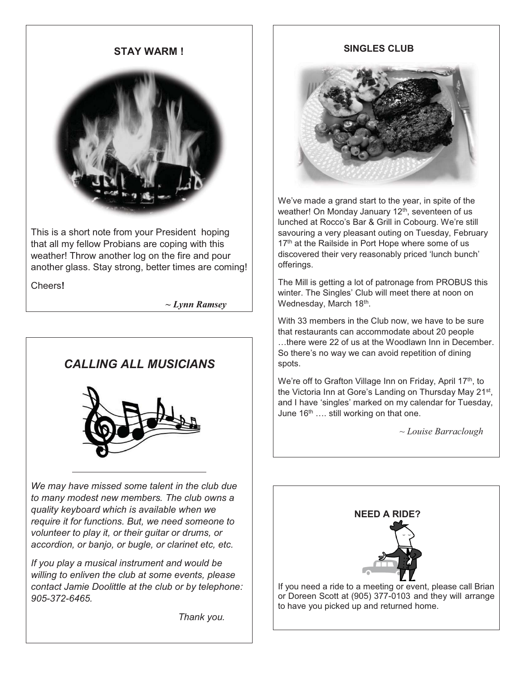## **STAY WARM !**



This is a short note from your President hoping that all my fellow Probians are coping with this weather! Throw another log on the fire and pour another glass. Stay strong, better times are coming!

Cheers**!** 

 *~ Lynn Ramsey*

# *CALLING ALL MUSICIANS*



*We may have missed some talent in the club due to many modest new members. The club owns a quality keyboard which is available when we require it for functions. But, we need someone to volunteer to play it, or their guitar or drums, or accordion, or banjo, or bugle, or clarinet etc, etc.* 

*If you play a musical instrument and would be willing to enliven the club at some events, please contact Jamie Doolittle at the club or by telephone: 905-372-6465.* 

 *Thank you.* 

## **SINGLES CLUB**



We've made a grand start to the year, in spite of the weather! On Monday January 12<sup>th</sup>, seventeen of us lunched at Rocco's Bar & Grill in Cobourg. We're still savouring a very pleasant outing on Tuesday, February 17<sup>th</sup> at the Railside in Port Hope where some of us discovered their very reasonably priced 'lunch bunch' offerings.

The Mill is getting a lot of patronage from PROBUS this winter. The Singles' Club will meet there at noon on Wednesday, March 18th.

With 33 members in the Club now, we have to be sure that restaurants can accommodate about 20 people …there were 22 of us at the Woodlawn Inn in December. So there's no way we can avoid repetition of dining spots.

We're off to Grafton Village Inn on Friday, April 17<sup>th</sup>, to the Victoria Inn at Gore's Landing on Thursday May 21st, and I have 'singles' marked on my calendar for Tuesday, June  $16<sup>th</sup>$  .... still working on that one.

*~ Louise Barraclough* 

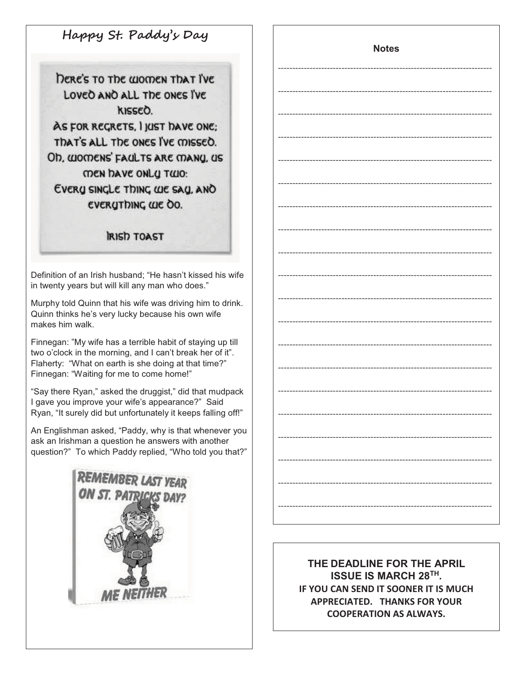**Happy St. Paddy's Day** 

DERE'S TO The WOMEN THAT I'VE LOVED AND ALL THE ONES I'VE KISSEO. AS FOR REGRETS, I JUST DAVE ONE: That's all the ones I've missed. Oh, WOMENS' FAULTS ARE MANU, US **MEN DAVE ONLY TWO:** EVERY SINCLE THING WE SAY, AND EVERYTHING WE OO.

**IRISH TOAST** 

Definition of an Irish husband; "He hasn't kissed his wife in twenty years but will kill any man who does."

Murphy told Quinn that his wife was driving him to drink. Quinn thinks he's very lucky because his own wife makes him walk.

Finnegan: "My wife has a terrible habit of staying up till two o'clock in the morning, and I can't break her of it". Flaherty: "What on earth is she doing at that time?" Finnegan: "Waiting for me to come home!"

"Say there Ryan," asked the druggist," did that mudpack I gave you improve your wife's appearance?" Said Ryan, "It surely did but unfortunately it keeps falling off!"

An Englishman asked, "Paddy, why is that whenever you ask an Irishman a question he answers with another question?" To which Paddy replied, "Who told you that?"



**Notes** 

**THE DEADLINE FOR THE APRIL ISSUE IS MARCH 28TH. IF YOU CAN SEND IT SOONER IT IS MUCH APPRECIATED. THANKS FOR YOUR COOPERATION AS ALWAYS.**